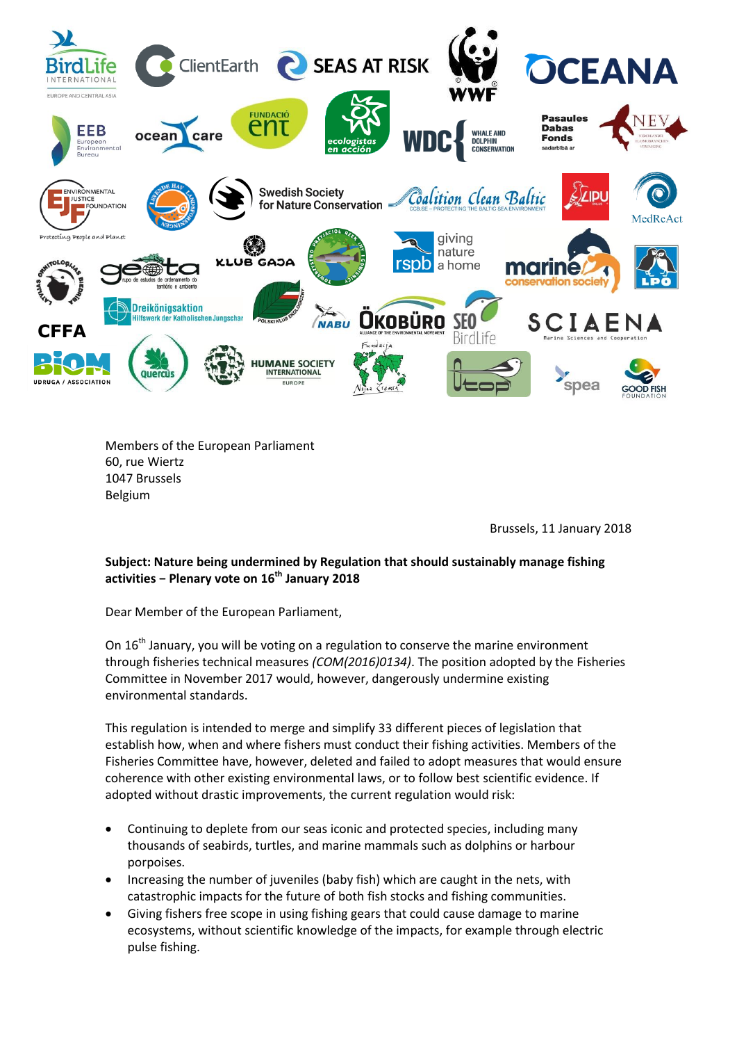

Members of the European Parliament 60, rue Wiertz 1047 Brussels Belgium

Brussels, 11 January 2018

## **Subject: Nature being undermined by Regulation that should sustainably manage fishing activities − Plenary vote on 16th January 2018**

Dear Member of the European Parliament,

On  $16<sup>th</sup>$  January, you will be voting on a regulation to conserve the marine environment through fisheries technical measures *(COM(2016)0134)*. The position adopted by the Fisheries Committee in November 2017 would, however, dangerously undermine existing environmental standards.

This regulation is intended to merge and simplify 33 different pieces of legislation that establish how, when and where fishers must conduct their fishing activities. Members of the Fisheries Committee have, however, deleted and failed to adopt measures that would ensure coherence with other existing environmental laws, or to follow best scientific evidence. If adopted without drastic improvements, the current regulation would risk:

- Continuing to deplete from our seas iconic and protected species, including many thousands of seabirds, turtles, and marine mammals such as dolphins or harbour porpoises.
- Increasing the number of juveniles (baby fish) which are caught in the nets, with catastrophic impacts for the future of both fish stocks and fishing communities.
- Giving fishers free scope in using fishing gears that could cause damage to marine ecosystems, without scientific knowledge of the impacts, for example through electric pulse fishing.